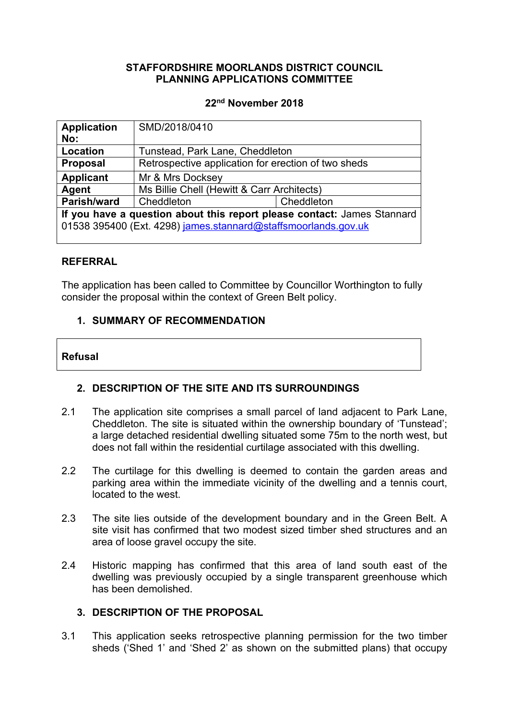## **STAFFORDSHIRE MOORLANDS DISTRICT COUNCIL PLANNING APPLICATIONS COMMITTEE**

#### **22nd November 2018**

| <b>Application</b><br>No:                                               | SMD/2018/0410                                       |            |  |
|-------------------------------------------------------------------------|-----------------------------------------------------|------------|--|
| <b>Location</b>                                                         | Tunstead, Park Lane, Cheddleton                     |            |  |
| <b>Proposal</b>                                                         | Retrospective application for erection of two sheds |            |  |
| <b>Applicant</b>                                                        | Mr & Mrs Docksey                                    |            |  |
| Agent                                                                   | Ms Billie Chell (Hewitt & Carr Architects)          |            |  |
| Parish/ward                                                             | Cheddleton                                          | Cheddleton |  |
| If you have a question about this report please contact: James Stannard |                                                     |            |  |
| 01538 395400 (Ext. 4298) james.stannard@staffsmoorlands.gov.uk          |                                                     |            |  |
|                                                                         |                                                     |            |  |

## **REFERRAL**

The application has been called to Committee by Councillor Worthington to fully consider the proposal within the context of Green Belt policy.

## **1. SUMMARY OF RECOMMENDATION**

#### **Refusal**

# **2. DESCRIPTION OF THE SITE AND ITS SURROUNDINGS**

- 2.1 The application site comprises a small parcel of land adjacent to Park Lane, Cheddleton. The site is situated within the ownership boundary of 'Tunstead'; a large detached residential dwelling situated some 75m to the north west, but does not fall within the residential curtilage associated with this dwelling.
- 2.2 The curtilage for this dwelling is deemed to contain the garden areas and parking area within the immediate vicinity of the dwelling and a tennis court, located to the west.
- 2.3 The site lies outside of the development boundary and in the Green Belt. A site visit has confirmed that two modest sized timber shed structures and an area of loose gravel occupy the site.
- 2.4 Historic mapping has confirmed that this area of land south east of the dwelling was previously occupied by a single transparent greenhouse which has been demolished.

## **3. DESCRIPTION OF THE PROPOSAL**

3.1 This application seeks retrospective planning permission for the two timber sheds ('Shed 1' and 'Shed 2' as shown on the submitted plans) that occupy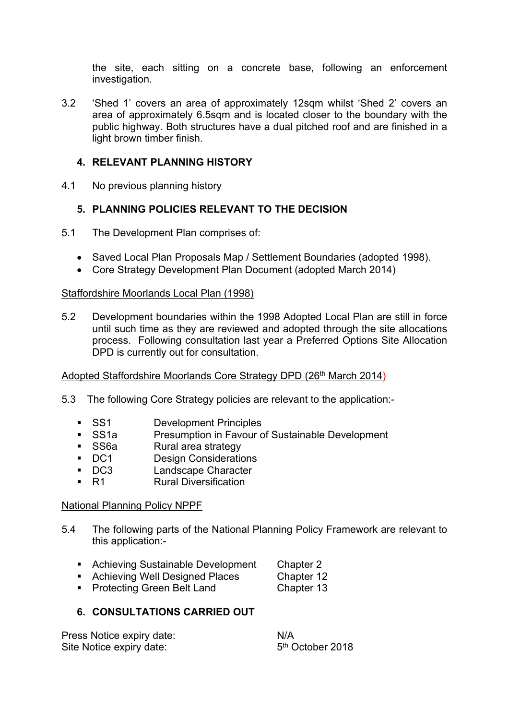the site, each sitting on a concrete base, following an enforcement investigation.

3.2 'Shed 1' covers an area of approximately 12sqm whilst 'Shed 2' covers an area of approximately 6.5sqm and is located closer to the boundary with the public highway. Both structures have a dual pitched roof and are finished in a light brown timber finish.

# **4. RELEVANT PLANNING HISTORY**

4.1 No previous planning history

## **5. PLANNING POLICIES RELEVANT TO THE DECISION**

- 5.1 The Development Plan comprises of:
	- Saved Local Plan Proposals Map / Settlement Boundaries (adopted 1998).
	- Core Strategy Development Plan Document (adopted March 2014)

## Staffordshire Moorlands Local Plan (1998)

5.2 Development boundaries within the 1998 Adopted Local Plan are still in force until such time as they are reviewed and adopted through the site allocations process. Following consultation last year a Preferred Options Site Allocation DPD is currently out for consultation.

## Adopted Staffordshire Moorlands Core Strategy DPD (26<sup>th</sup> March 2014)

- 5.3 The following Core Strategy policies are relevant to the application:-
	-
	- **SS1** Development Principles<br>
	SS1a Presumption in Favour c SS1a Presumption in Favour of Sustainable Development<br>SS6a Rural area strategy
	- Rural area strategy
	- **DC1** Design Considerations
	- DC3 Landscape Character
	- R1 Rural Diversification

## National Planning Policy NPPF

- 5.4 The following parts of the National Planning Policy Framework are relevant to this application:-
	- **Achieving Sustainable Development Chapter 2**
	- **Achieving Well Designed Places** Chapter 12
	- Protecting Green Belt Land Chapter 13

## **6. CONSULTATIONS CARRIED OUT**

| Press Notice expiry date: | N/A                          |
|---------------------------|------------------------------|
| Site Notice expiry date:  | 5 <sup>th</sup> October 2018 |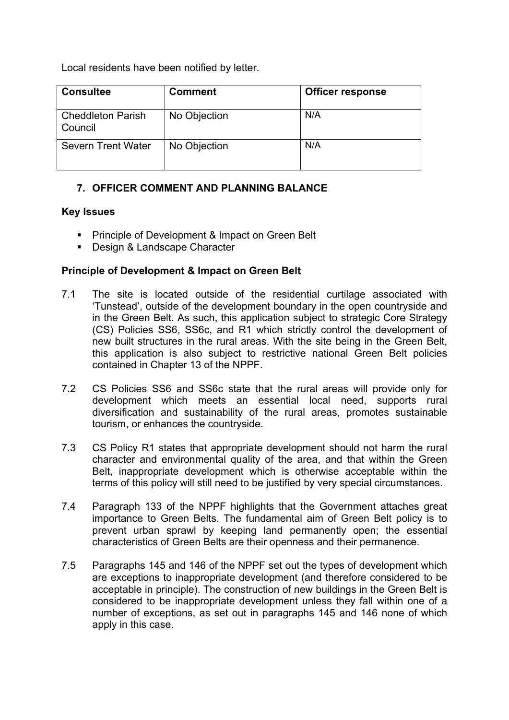Local residents have been notified by letter.

| <b>Consultee</b>                    | <b>Comment</b> | <b>Officer response</b> |
|-------------------------------------|----------------|-------------------------|
| <b>Cheddleton Parish</b><br>Council | No Objection   | N/A                     |
| <b>Severn Trent Water</b>           | No Objection   | N/A                     |

# **7. OFFICER COMMENT AND PLANNING BALANCE**

## **Key Issues**

- **Principle of Development & Impact on Green Belt**
- Design & Landscape Character

## **Principle of Development & Impact on Green Belt**

- 7.1 The site is located outside of the residential curtilage associated with 'Tunstead', outside of the development boundary in the open countryside and in the Green Belt. As such, this application subject to strategic Core Strategy (CS) Policies SS6, SS6c, and R1 which strictly control the development of new built structures in the rural areas. With the site being in the Green Belt, this application is also subject to restrictive national Green Belt policies contained in Chapter 13 of the NPPF.
- 7.2 CS Policies SS6 and SS6c state that the rural areas will provide only for development which meets an essential local need, supports rural diversification and sustainability of the rural areas, promotes sustainable tourism, or enhances the countryside.
- 7.3 CS Policy R1 states that appropriate development should not harm the rural character and environmental quality of the area, and that within the Green Belt, inappropriate development which is otherwise acceptable within the terms of this policy will still need to be justified by very special circumstances.
- 7.4 Paragraph 133 of the NPPF highlights that the Government attaches great importance to Green Belts. The fundamental aim of Green Belt policy is to prevent urban sprawl by keeping land permanently open; the essential characteristics of Green Belts are their openness and their permanence.
- 7.5 Paragraphs 145 and 146 of the NPPF set out the types of development which are exceptions to inappropriate development (and therefore considered to be acceptable in principle). The construction of new buildings in the Green Belt is considered to be inappropriate development unless they fall within one of a number of exceptions, as set out in paragraphs 145 and 146 none of which apply in this case.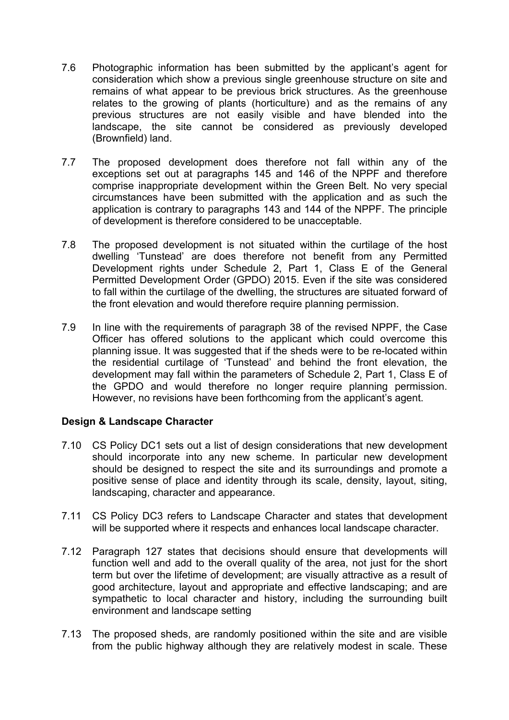- 7.6 Photographic information has been submitted by the applicant's agent for consideration which show a previous single greenhouse structure on site and remains of what appear to be previous brick structures. As the greenhouse relates to the growing of plants (horticulture) and as the remains of any previous structures are not easily visible and have blended into the landscape, the site cannot be considered as previously developed (Brownfield) land.
- 7.7 The proposed development does therefore not fall within any of the exceptions set out at paragraphs 145 and 146 of the NPPF and therefore comprise inappropriate development within the Green Belt. No very special circumstances have been submitted with the application and as such the application is contrary to paragraphs 143 and 144 of the NPPF. The principle of development is therefore considered to be unacceptable.
- 7.8 The proposed development is not situated within the curtilage of the host dwelling 'Tunstead' are does therefore not benefit from any Permitted Development rights under Schedule 2, Part 1, Class E of the General Permitted Development Order (GPDO) 2015. Even if the site was considered to fall within the curtilage of the dwelling, the structures are situated forward of the front elevation and would therefore require planning permission.
- 7.9 In line with the requirements of paragraph 38 of the revised NPPF, the Case Officer has offered solutions to the applicant which could overcome this planning issue. It was suggested that if the sheds were to be re-located within the residential curtilage of 'Tunstead' and behind the front elevation, the development may fall within the parameters of Schedule 2, Part 1, Class E of the GPDO and would therefore no longer require planning permission. However, no revisions have been forthcoming from the applicant's agent.

## **Design & Landscape Character**

- 7.10 CS Policy DC1 sets out a list of design considerations that new development should incorporate into any new scheme. In particular new development should be designed to respect the site and its surroundings and promote a positive sense of place and identity through its scale, density, layout, siting, landscaping, character and appearance.
- 7.11 CS Policy DC3 refers to Landscape Character and states that development will be supported where it respects and enhances local landscape character.
- 7.12 Paragraph 127 states that decisions should ensure that developments will function well and add to the overall quality of the area, not just for the short term but over the lifetime of development; are visually attractive as a result of good architecture, layout and appropriate and effective landscaping; and are sympathetic to local character and history, including the surrounding built environment and landscape setting
- 7.13 The proposed sheds, are randomly positioned within the site and are visible from the public highway although they are relatively modest in scale. These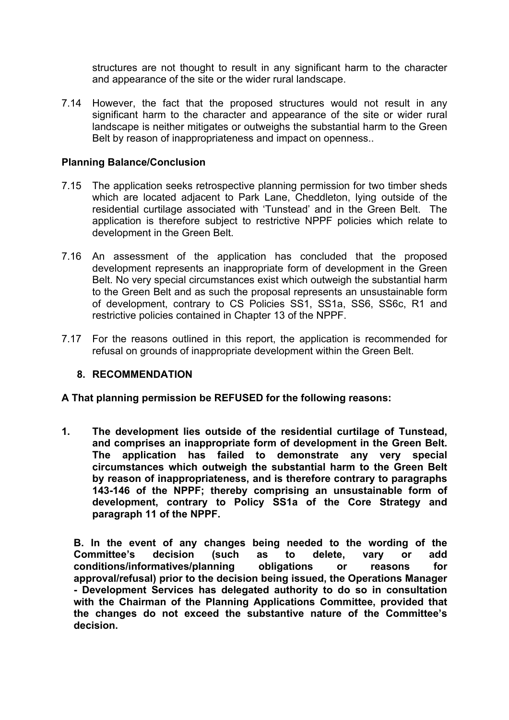structures are not thought to result in any significant harm to the character and appearance of the site or the wider rural landscape.

7.14 However, the fact that the proposed structures would not result in any significant harm to the character and appearance of the site or wider rural landscape is neither mitigates or outweighs the substantial harm to the Green Belt by reason of inappropriateness and impact on openness..

#### **Planning Balance/Conclusion**

- 7.15 The application seeks retrospective planning permission for two timber sheds which are located adjacent to Park Lane, Cheddleton, lying outside of the residential curtilage associated with 'Tunstead' and in the Green Belt. The application is therefore subject to restrictive NPPF policies which relate to development in the Green Belt.
- 7.16 An assessment of the application has concluded that the proposed development represents an inappropriate form of development in the Green Belt. No very special circumstances exist which outweigh the substantial harm to the Green Belt and as such the proposal represents an unsustainable form of development, contrary to CS Policies SS1, SS1a, SS6, SS6c, R1 and restrictive policies contained in Chapter 13 of the NPPF.
- 7.17 For the reasons outlined in this report, the application is recommended for refusal on grounds of inappropriate development within the Green Belt.

## **8. RECOMMENDATION**

**A That planning permission be REFUSED for the following reasons:**

**1. The development lies outside of the residential curtilage of Tunstead, and comprises an inappropriate form of development in the Green Belt. The application has failed to demonstrate any very special circumstances which outweigh the substantial harm to the Green Belt by reason of inappropriateness, and is therefore contrary to paragraphs 143-146 of the NPPF; thereby comprising an unsustainable form of development, contrary to Policy SS1a of the Core Strategy and paragraph 11 of the NPPF.**

**B. In the event of any changes being needed to the wording of the Committee's decision (such as to delete, vary or add conditions/informatives/planning obligations or reasons for approval/refusal) prior to the decision being issued, the Operations Manager - Development Services has delegated authority to do so in consultation with the Chairman of the Planning Applications Committee, provided that the changes do not exceed the substantive nature of the Committee's decision.**